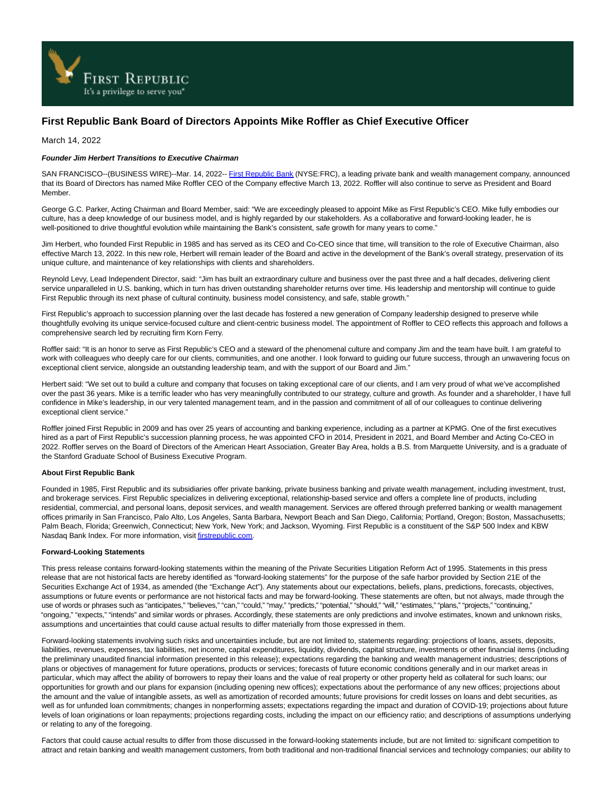

## **First Republic Bank Board of Directors Appoints Mike Roffler as Chief Executive Officer**

March 14, 2022

## **Founder Jim Herbert Transitions to Executive Chairman**

SAN FRANCISCO--(BUSINESS WIRE)--Mar. 14, 2022-- [First Republic Bank \(](https://cts.businesswire.com/ct/CT?id=smartlink&url=http%3A%2F%2Fwww.firstrepublic.com&esheet=52594859&newsitemid=20220314005298&lan=en-US&anchor=First+Republic+Bank&index=1&md5=ccb8a927793725e4e6ce3d17dd0e12d6)NYSE:FRC), a leading private bank and wealth management company, announced that its Board of Directors has named Mike Roffler CEO of the Company effective March 13, 2022. Roffler will also continue to serve as President and Board Member.

George G.C. Parker, Acting Chairman and Board Member, said: "We are exceedingly pleased to appoint Mike as First Republic's CEO. Mike fully embodies our culture, has a deep knowledge of our business model, and is highly regarded by our stakeholders. As a collaborative and forward-looking leader, he is well-positioned to drive thoughtful evolution while maintaining the Bank's consistent, safe growth for many years to come."

Jim Herbert, who founded First Republic in 1985 and has served as its CEO and Co-CEO since that time, will transition to the role of Executive Chairman, also effective March 13, 2022. In this new role, Herbert will remain leader of the Board and active in the development of the Bank's overall strategy, preservation of its unique culture, and maintenance of key relationships with clients and shareholders.

Reynold Levy, Lead Independent Director, said: "Jim has built an extraordinary culture and business over the past three and a half decades, delivering client service unparalleled in U.S. banking, which in turn has driven outstanding shareholder returns over time. His leadership and mentorship will continue to guide First Republic through its next phase of cultural continuity, business model consistency, and safe, stable growth."

First Republic's approach to succession planning over the last decade has fostered a new generation of Company leadership designed to preserve while thoughtfully evolving its unique service-focused culture and client-centric business model. The appointment of Roffler to CEO reflects this approach and follows a comprehensive search led by recruiting firm Korn Ferry.

Roffler said: "It is an honor to serve as First Republic's CEO and a steward of the phenomenal culture and company Jim and the team have built. I am grateful to work with colleagues who deeply care for our clients, communities, and one another. I look forward to guiding our future success, through an unwavering focus on exceptional client service, alongside an outstanding leadership team, and with the support of our Board and Jim."

Herbert said: "We set out to build a culture and company that focuses on taking exceptional care of our clients, and I am very proud of what we've accomplished over the past 36 years. Mike is a terrific leader who has very meaningfully contributed to our strategy, culture and growth. As founder and a shareholder, I have full confidence in Mike's leadership, in our very talented management team, and in the passion and commitment of all of our colleagues to continue delivering exceptional client service."

Roffler joined First Republic in 2009 and has over 25 years of accounting and banking experience, including as a partner at KPMG. One of the first executives hired as a part of First Republic's succession planning process, he was appointed CFO in 2014, President in 2021, and Board Member and Acting Co-CEO in 2022. Roffler serves on the Board of Directors of the American Heart Association, Greater Bay Area, holds a B.S. from Marquette University, and is a graduate of the Stanford Graduate School of Business Executive Program.

## **About First Republic Bank**

Founded in 1985, First Republic and its subsidiaries offer private banking, private business banking and private wealth management, including investment, trust, and brokerage services. First Republic specializes in delivering exceptional, relationship-based service and offers a complete line of products, including residential, commercial, and personal loans, deposit services, and wealth management. Services are offered through preferred banking or wealth management offices primarily in San Francisco, Palo Alto, Los Angeles, Santa Barbara, Newport Beach and San Diego, California; Portland, Oregon; Boston, Massachusetts; Palm Beach, Florida; Greenwich, Connecticut; New York, New York; and Jackson, Wyoming. First Republic is a constituent of the S&P 500 Index and KBW Nasdaq Bank Index. For more information, visit [firstrepublic.com.](https://cts.businesswire.com/ct/CT?id=smartlink&url=http%3A%2F%2Fwww.firstrepublic.com&esheet=52594859&newsitemid=20220314005298&lan=en-US&anchor=firstrepublic.com&index=2&md5=baa718712aaa2f4859f2d2ad4ab1adb6)

## **Forward-Looking Statements**

This press release contains forward-looking statements within the meaning of the Private Securities Litigation Reform Act of 1995. Statements in this press release that are not historical facts are hereby identified as "forward-looking statements" for the purpose of the safe harbor provided by Section 21E of the Securities Exchange Act of 1934, as amended (the "Exchange Act"). Any statements about our expectations, beliefs, plans, predictions, forecasts, objectives, assumptions or future events or performance are not historical facts and may be forward-looking. These statements are often, but not always, made through the use of words or phrases such as "anticipates," "believes," "can," "could," "may," "predicts," "potential," "should," "will," "estimates," "plans," "projects," "continuing," "ongoing," "expects," "intends" and similar words or phrases. Accordingly, these statements are only predictions and involve estimates, known and unknown risks, assumptions and uncertainties that could cause actual results to differ materially from those expressed in them.

Forward-looking statements involving such risks and uncertainties include, but are not limited to, statements regarding: projections of loans, assets, deposits, liabilities, revenues, expenses, tax liabilities, net income, capital expenditures, liquidity, dividends, capital structure, investments or other financial items (including the preliminary unaudited financial information presented in this release); expectations regarding the banking and wealth management industries; descriptions of plans or objectives of management for future operations, products or services; forecasts of future economic conditions generally and in our market areas in particular, which may affect the ability of borrowers to repay their loans and the value of real property or other property held as collateral for such loans; our opportunities for growth and our plans for expansion (including opening new offices); expectations about the performance of any new offices; projections about the amount and the value of intangible assets, as well as amortization of recorded amounts; future provisions for credit losses on loans and debt securities, as well as for unfunded loan commitments; changes in nonperforming assets; expectations regarding the impact and duration of COVID-19; projections about future levels of loan originations or loan repayments; projections regarding costs, including the impact on our efficiency ratio; and descriptions of assumptions underlying or relating to any of the foregoing.

Factors that could cause actual results to differ from those discussed in the forward-looking statements include, but are not limited to: significant competition to attract and retain banking and wealth management customers, from both traditional and non-traditional financial services and technology companies; our ability to